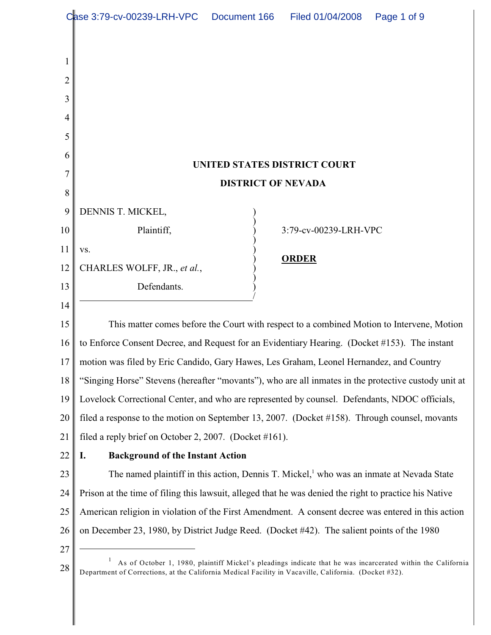|    | Case 3:79-cv-00239-LRH-VPC                                                                             | Document 166 | Filed 01/04/2008      | Page 1 of 9                                                                                                 |  |  |
|----|--------------------------------------------------------------------------------------------------------|--------------|-----------------------|-------------------------------------------------------------------------------------------------------------|--|--|
|    |                                                                                                        |              |                       |                                                                                                             |  |  |
| 1  |                                                                                                        |              |                       |                                                                                                             |  |  |
| 2  |                                                                                                        |              |                       |                                                                                                             |  |  |
| 3  |                                                                                                        |              |                       |                                                                                                             |  |  |
| 4  |                                                                                                        |              |                       |                                                                                                             |  |  |
| 5  |                                                                                                        |              |                       |                                                                                                             |  |  |
| 6  |                                                                                                        |              |                       |                                                                                                             |  |  |
| 7  | UNITED STATES DISTRICT COURT                                                                           |              |                       |                                                                                                             |  |  |
| 8  | <b>DISTRICT OF NEVADA</b>                                                                              |              |                       |                                                                                                             |  |  |
| 9  | DENNIS T. MICKEL,                                                                                      |              |                       |                                                                                                             |  |  |
| 10 | Plaintiff,                                                                                             |              | 3:79-cv-00239-LRH-VPC |                                                                                                             |  |  |
| 11 | VS.                                                                                                    |              |                       |                                                                                                             |  |  |
| 12 | CHARLES WOLFF, JR., et al.,                                                                            |              | <b>ORDER</b>          |                                                                                                             |  |  |
| 13 | Defendants.                                                                                            |              |                       |                                                                                                             |  |  |
| 14 |                                                                                                        |              |                       |                                                                                                             |  |  |
| 15 | This matter comes before the Court with respect to a combined Motion to Intervene, Motion              |              |                       |                                                                                                             |  |  |
| 16 | to Enforce Consent Decree, and Request for an Evidentiary Hearing. (Docket #153). The instant          |              |                       |                                                                                                             |  |  |
| 17 | motion was filed by Eric Candido, Gary Hawes, Les Graham, Leonel Hernandez, and Country                |              |                       |                                                                                                             |  |  |
| 18 | "Singing Horse" Stevens (hereafter "movants"), who are all inmates in the protective custody unit at   |              |                       |                                                                                                             |  |  |
| 19 | Lovelock Correctional Center, and who are represented by counsel. Defendants, NDOC officials,          |              |                       |                                                                                                             |  |  |
| 20 | filed a response to the motion on September 13, 2007. (Docket #158). Through counsel, movants          |              |                       |                                                                                                             |  |  |
| 21 | filed a reply brief on October 2, 2007. (Docket #161).                                                 |              |                       |                                                                                                             |  |  |
| 22 | <b>Background of the Instant Action</b><br>I.                                                          |              |                       |                                                                                                             |  |  |
| 23 | The named plaintiff in this action, Dennis T. Mickel, who was an inmate at Nevada State                |              |                       |                                                                                                             |  |  |
| 24 | Prison at the time of filing this lawsuit, alleged that he was denied the right to practice his Native |              |                       |                                                                                                             |  |  |
| 25 | American religion in violation of the First Amendment. A consent decree was entered in this action     |              |                       |                                                                                                             |  |  |
| 26 | on December 23, 1980, by District Judge Reed. (Docket #42). The salient points of the 1980             |              |                       |                                                                                                             |  |  |
| 27 |                                                                                                        |              |                       |                                                                                                             |  |  |
| 28 | Department of Corrections, at the California Medical Facility in Vacaville, California. (Docket #32).  |              |                       | As of October 1, 1980, plaintiff Mickel's pleadings indicate that he was incarcerated within the California |  |  |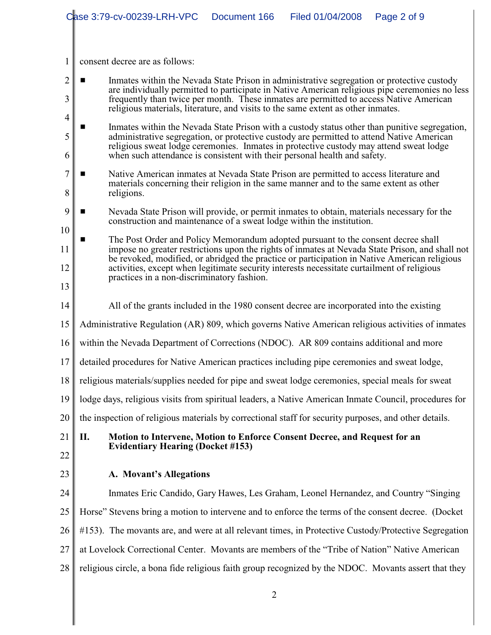|                                                                                                                                                                                                       |                                                                                                                                                                                                                                                                                                                                                                   | Case 3:79-cv-00239-LRH-VPC                                                                                                                                          | Document 166                                                                               | Filed 01/04/2008 | Page 2 of 9 |  |  |  |  |
|-------------------------------------------------------------------------------------------------------------------------------------------------------------------------------------------------------|-------------------------------------------------------------------------------------------------------------------------------------------------------------------------------------------------------------------------------------------------------------------------------------------------------------------------------------------------------------------|---------------------------------------------------------------------------------------------------------------------------------------------------------------------|--------------------------------------------------------------------------------------------|------------------|-------------|--|--|--|--|
|                                                                                                                                                                                                       |                                                                                                                                                                                                                                                                                                                                                                   |                                                                                                                                                                     |                                                                                            |                  |             |  |  |  |  |
| 1                                                                                                                                                                                                     |                                                                                                                                                                                                                                                                                                                                                                   | consent decree are as follows:                                                                                                                                      |                                                                                            |                  |             |  |  |  |  |
| $\overline{2}$                                                                                                                                                                                        |                                                                                                                                                                                                                                                                                                                                                                   |                                                                                                                                                                     |                                                                                            |                  |             |  |  |  |  |
| 3                                                                                                                                                                                                     | Inmates within the Nevada State Prison in administrative segregation or protective custody<br>are individually permitted to participate in Native American religious pipe ceremonies no less<br>frequently than twice per month. These inmates are permitted to access Native American                                                                            |                                                                                                                                                                     |                                                                                            |                  |             |  |  |  |  |
| 4                                                                                                                                                                                                     | religious materials, literature, and visits to the same extent as other inmates.                                                                                                                                                                                                                                                                                  |                                                                                                                                                                     |                                                                                            |                  |             |  |  |  |  |
| 5                                                                                                                                                                                                     | Inmates within the Nevada State Prison with a custody status other than punitive segregation,<br>administrative segregation, or protective custody are permitted to attend Native American<br>religious sweat lodge ceremonies. Inmates in protective custody may attend sweat lodge<br>when such attendance is consistent with their personal health and safety. |                                                                                                                                                                     |                                                                                            |                  |             |  |  |  |  |
| 6                                                                                                                                                                                                     |                                                                                                                                                                                                                                                                                                                                                                   |                                                                                                                                                                     |                                                                                            |                  |             |  |  |  |  |
| 7<br>8                                                                                                                                                                                                | Native American inmates at Nevada State Prison are permitted to access literature and<br>materials concerning their religion in the same manner and to the same extent as other<br>religions.                                                                                                                                                                     |                                                                                                                                                                     |                                                                                            |                  |             |  |  |  |  |
| 9<br>10                                                                                                                                                                                               |                                                                                                                                                                                                                                                                                                                                                                   | Nevada State Prison will provide, or permit inmates to obtain, materials necessary for the<br>construction and maintenance of a sweat lodge within the institution. |                                                                                            |                  |             |  |  |  |  |
|                                                                                                                                                                                                       | The Post Order and Policy Memorandum adopted pursuant to the consent decree shall                                                                                                                                                                                                                                                                                 |                                                                                                                                                                     |                                                                                            |                  |             |  |  |  |  |
| impose no greater restrictions upon the rights of inmates at Nevada State Prison, and shall not<br>11<br>be revoked, modified, or abridged the practice or participation in Native American religious |                                                                                                                                                                                                                                                                                                                                                                   |                                                                                                                                                                     |                                                                                            |                  |             |  |  |  |  |
| 12<br>13                                                                                                                                                                                              |                                                                                                                                                                                                                                                                                                                                                                   | practices in a non-discriminatory fashion.                                                                                                                          | activities, except when legitimate security interests necessitate curtailment of religious |                  |             |  |  |  |  |
| 14                                                                                                                                                                                                    |                                                                                                                                                                                                                                                                                                                                                                   | All of the grants included in the 1980 consent decree are incorporated into the existing                                                                            |                                                                                            |                  |             |  |  |  |  |
| 15                                                                                                                                                                                                    | Administrative Regulation (AR) 809, which governs Native American religious activities of inmates                                                                                                                                                                                                                                                                 |                                                                                                                                                                     |                                                                                            |                  |             |  |  |  |  |
| 16                                                                                                                                                                                                    | within the Nevada Department of Corrections (NDOC). AR 809 contains additional and more                                                                                                                                                                                                                                                                           |                                                                                                                                                                     |                                                                                            |                  |             |  |  |  |  |
| 17                                                                                                                                                                                                    | detailed procedures for Native American practices including pipe ceremonies and sweat lodge,                                                                                                                                                                                                                                                                      |                                                                                                                                                                     |                                                                                            |                  |             |  |  |  |  |
| 18                                                                                                                                                                                                    |                                                                                                                                                                                                                                                                                                                                                                   | religious materials/supplies needed for pipe and sweat lodge ceremonies, special meals for sweat                                                                    |                                                                                            |                  |             |  |  |  |  |
| 19                                                                                                                                                                                                    | lodge days, religious visits from spiritual leaders, a Native American Inmate Council, procedures for                                                                                                                                                                                                                                                             |                                                                                                                                                                     |                                                                                            |                  |             |  |  |  |  |
| 20                                                                                                                                                                                                    |                                                                                                                                                                                                                                                                                                                                                                   | the inspection of religious materials by correctional staff for security purposes, and other details.                                                               |                                                                                            |                  |             |  |  |  |  |
| 21                                                                                                                                                                                                    | П.                                                                                                                                                                                                                                                                                                                                                                | Motion to Intervene, Motion to Enforce Consent Decree, and Request for an                                                                                           |                                                                                            |                  |             |  |  |  |  |
| 22                                                                                                                                                                                                    |                                                                                                                                                                                                                                                                                                                                                                   | <b>Evidentiary Hearing (Docket #153)</b>                                                                                                                            |                                                                                            |                  |             |  |  |  |  |
| 23                                                                                                                                                                                                    |                                                                                                                                                                                                                                                                                                                                                                   | A. Movant's Allegations                                                                                                                                             |                                                                                            |                  |             |  |  |  |  |
| 24                                                                                                                                                                                                    |                                                                                                                                                                                                                                                                                                                                                                   | Inmates Eric Candido, Gary Hawes, Les Graham, Leonel Hernandez, and Country "Singing                                                                                |                                                                                            |                  |             |  |  |  |  |
| 25                                                                                                                                                                                                    |                                                                                                                                                                                                                                                                                                                                                                   | Horse" Stevens bring a motion to intervene and to enforce the terms of the consent decree. (Docket                                                                  |                                                                                            |                  |             |  |  |  |  |
| 26                                                                                                                                                                                                    |                                                                                                                                                                                                                                                                                                                                                                   | #153). The movants are, and were at all relevant times, in Protective Custody/Protective Segregation                                                                |                                                                                            |                  |             |  |  |  |  |
| 27                                                                                                                                                                                                    |                                                                                                                                                                                                                                                                                                                                                                   | at Lovelock Correctional Center. Movants are members of the "Tribe of Nation" Native American                                                                       |                                                                                            |                  |             |  |  |  |  |
| 28                                                                                                                                                                                                    |                                                                                                                                                                                                                                                                                                                                                                   | religious circle, a bona fide religious faith group recognized by the NDOC. Movants assert that they                                                                |                                                                                            |                  |             |  |  |  |  |
|                                                                                                                                                                                                       |                                                                                                                                                                                                                                                                                                                                                                   |                                                                                                                                                                     | $\overline{2}$                                                                             |                  |             |  |  |  |  |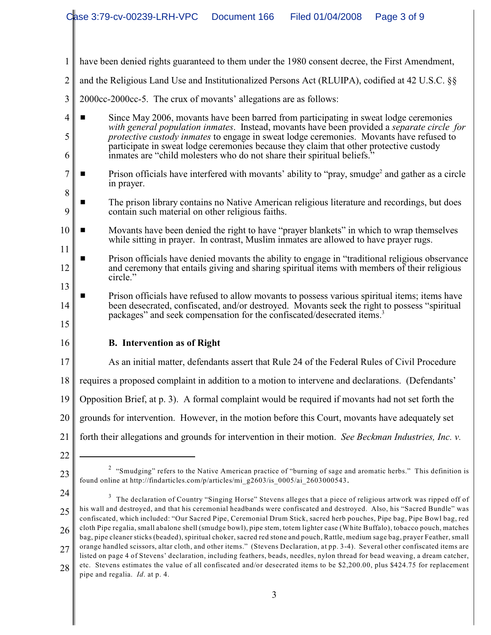|                | Case 3:79-cv-00239-LRH-VPC<br>Document 166<br>Filed 01/04/2008<br>Page 3 of 9                                                                                                                                                                                                                                                                                                                                                                                                                                                                                                                                                           |  |  |  |  |  |  |  |
|----------------|-----------------------------------------------------------------------------------------------------------------------------------------------------------------------------------------------------------------------------------------------------------------------------------------------------------------------------------------------------------------------------------------------------------------------------------------------------------------------------------------------------------------------------------------------------------------------------------------------------------------------------------------|--|--|--|--|--|--|--|
|                |                                                                                                                                                                                                                                                                                                                                                                                                                                                                                                                                                                                                                                         |  |  |  |  |  |  |  |
| 1              | have been denied rights guaranteed to them under the 1980 consent decree, the First Amendment,                                                                                                                                                                                                                                                                                                                                                                                                                                                                                                                                          |  |  |  |  |  |  |  |
| 2              | and the Religious Land Use and Institutionalized Persons Act (RLUIPA), codified at 42 U.S.C. §§                                                                                                                                                                                                                                                                                                                                                                                                                                                                                                                                         |  |  |  |  |  |  |  |
| 3              | 2000cc-2000cc-5. The crux of movants' allegations are as follows:                                                                                                                                                                                                                                                                                                                                                                                                                                                                                                                                                                       |  |  |  |  |  |  |  |
| 4<br>5<br>6    | Since May 2006, movants have been barred from participating in sweat lodge ceremonies<br>with general population inmates. Instead, movants have been provided a separate circle for<br>protective custody inmates to engage in sweat lodge ceremonies. Movants have refused to<br>participate in sweat lodge ceremonies because they claim that other protective custody<br>inmates are "child molesters who do not share their spiritual beliefs."                                                                                                                                                                                     |  |  |  |  |  |  |  |
| 7              | Prison officials have interfered with movants' ability to "pray, smudge <sup>2</sup> and gather as a circle<br>in prayer.                                                                                                                                                                                                                                                                                                                                                                                                                                                                                                               |  |  |  |  |  |  |  |
| 8<br>9         | The prison library contains no Native American religious literature and recordings, but does<br>contain such material on other religious faiths.                                                                                                                                                                                                                                                                                                                                                                                                                                                                                        |  |  |  |  |  |  |  |
| 10<br>11       | Movants have been denied the right to have "prayer blankets" in which to wrap themselves<br>while sitting in prayer. In contrast, Muslim inmates are allowed to have prayer rugs.                                                                                                                                                                                                                                                                                                                                                                                                                                                       |  |  |  |  |  |  |  |
| 12             | Prison officials have denied movants the ability to engage in "traditional religious observance"<br>and ceremony that entails giving and sharing spiritual items with members of their religious<br>circle."                                                                                                                                                                                                                                                                                                                                                                                                                            |  |  |  |  |  |  |  |
| 13<br>14<br>15 | Prison officials have refused to allow movants to possess various spiritual items; items have<br>■<br>been desecrated, confiscated, and/or destroyed. Movants seek the right to possess "spiritual<br>packages" and seek compensation for the confiscated/desecrated items. <sup>3</sup>                                                                                                                                                                                                                                                                                                                                                |  |  |  |  |  |  |  |
| 16             | <b>B.</b> Intervention as of Right                                                                                                                                                                                                                                                                                                                                                                                                                                                                                                                                                                                                      |  |  |  |  |  |  |  |
| 17             | As an initial matter, defendants assert that Rule 24 of the Federal Rules of Civil Procedure                                                                                                                                                                                                                                                                                                                                                                                                                                                                                                                                            |  |  |  |  |  |  |  |
| 18             | requires a proposed complaint in addition to a motion to intervene and declarations. (Defendants'                                                                                                                                                                                                                                                                                                                                                                                                                                                                                                                                       |  |  |  |  |  |  |  |
| 19             | Opposition Brief, at p. 3). A formal complaint would be required if movants had not set forth the                                                                                                                                                                                                                                                                                                                                                                                                                                                                                                                                       |  |  |  |  |  |  |  |
| 20             | grounds for intervention. However, in the motion before this Court, movants have adequately set                                                                                                                                                                                                                                                                                                                                                                                                                                                                                                                                         |  |  |  |  |  |  |  |
| 21             | forth their allegations and grounds for intervention in their motion. See Beckman Industries, Inc. v.                                                                                                                                                                                                                                                                                                                                                                                                                                                                                                                                   |  |  |  |  |  |  |  |
| 22             |                                                                                                                                                                                                                                                                                                                                                                                                                                                                                                                                                                                                                                         |  |  |  |  |  |  |  |
| 23             | <sup>2</sup> "Smudging" refers to the Native American practice of "burning of sage and aromatic herbs." This definition is<br>found online at http://findarticles.com/p/articles/mi_g2603/is_0005/ai_2603000543.                                                                                                                                                                                                                                                                                                                                                                                                                        |  |  |  |  |  |  |  |
| 24<br>25<br>26 | The declaration of Country "Singing Horse" Stevens alleges that a piece of religious artwork was ripped off of<br>his wall and destroyed, and that his ceremonial headbands were confiscated and destroyed. Also, his "Sacred Bundle" was<br>confiscated, which included: "Our Sacred Pipe, Ceremonial Drum Stick, sacred herb pouches, Pipe bag, Pipe Bowl bag, red<br>cloth Pipe regalia, small abalone shell (smudge bowl), pipe stem, totem lighter case (White Buffalo), tobacco pouch, matches<br>bag, pipe cleaner sticks (beaded), spiritual choker, sacred red stone and pouch, Rattle, medium sage bag, prayer Feather, small |  |  |  |  |  |  |  |
| 27             | orange handled scissors, altar cloth, and other items." (Stevens Declaration, at pp. 3-4). Several other confiscated items are<br>listed on page 4 of Stevens' declaration, including feathers, beads, needles, nylon thread for bead weaving, a dream catcher,                                                                                                                                                                                                                                                                                                                                                                         |  |  |  |  |  |  |  |

<sup>28</sup> etc. Stevens estimates the value of all confiscated and/or desecrated items to be \$2,200.00, plus \$424.75 for replacement pipe and regalia. *Id*. at p. 4.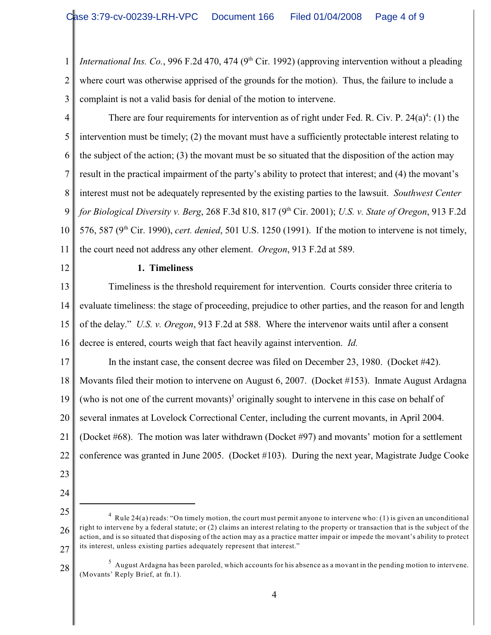1 2 3 *International Ins. Co.*, 996 F.2d 470, 474 (9<sup>th</sup> Cir. 1992) (approving intervention without a pleading where court was otherwise apprised of the grounds for the motion). Thus, the failure to include a complaint is not a valid basis for denial of the motion to intervene.

4 5 6 7 8 9 10 11 There are four requirements for intervention as of right under Fed. R. Civ. P.  $24(a)^4$ : (1) the intervention must be timely; (2) the movant must have a sufficiently protectable interest relating to the subject of the action; (3) the movant must be so situated that the disposition of the action may result in the practical impairment of the party's ability to protect that interest; and (4) the movant's interest must not be adequately represented by the existing parties to the lawsuit. *Southwest Center for Biological Diversity v. Berg,* 268 F.3d 810, 817 (9<sup>th</sup> Cir. 2001); *U.S. v. State of Oregon,* 913 F.2d 576, 587 (9<sup>th</sup> Cir. 1990), *cert. denied*, 501 U.S. 1250 (1991). If the motion to intervene is not timely, the court need not address any other element. *Oregon*, 913 F.2d at 589.

12

### **1. Timeliness**

13 14 15 16 Timeliness is the threshold requirement for intervention. Courts consider three criteria to evaluate timeliness: the stage of proceeding, prejudice to other parties, and the reason for and length of the delay." *U.S. v. Oregon*, 913 F.2d at 588. Where the intervenor waits until after a consent decree is entered, courts weigh that fact heavily against intervention. *Id.*

17 18 19 20 21 22 In the instant case, the consent decree was filed on December 23, 1980. (Docket #42). Movants filed their motion to intervene on August 6, 2007. (Docket #153). Inmate August Ardagna (who is not one of the current movants)<sup>5</sup> originally sought to intervene in this case on behalf of several inmates at Lovelock Correctional Center, including the current movants, in April 2004. (Docket #68). The motion was later withdrawn (Docket #97) and movants' motion for a settlement conference was granted in June 2005. (Docket #103). During the next year, Magistrate Judge Cooke

- 23
- 24
- 25

<sup>26</sup> 27 <sup>4</sup> Rule 24(a) reads: "On timely motion, the court must permit anyone to intervene who: (1) is given an unconditional right to intervene by a federal statute; or (2) claims an interest relating to the property or transaction that is the subject of the action, and is so situated that disposing of the action may as a practice matter impair or impede the movant's ability to protect its interest, unless existing parties adequately represent that interest."

<sup>28</sup>  $^5$  August Ardagna has been paroled, which accounts for his absence as a movant in the pending motion to intervene. (Movants' Reply Brief, at fn.1).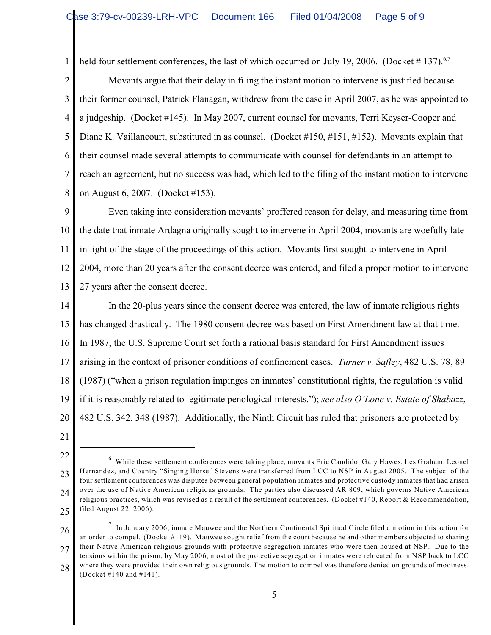1 2 held four settlement conferences, the last of which occurred on July 19, 2006. (Docket #137).<sup>6,7</sup>

3 4 5 6 7 8 Movants argue that their delay in filing the instant motion to intervene is justified because their former counsel, Patrick Flanagan, withdrew from the case in April 2007, as he was appointed to a judgeship. (Docket #145). In May 2007, current counsel for movants, Terri Keyser-Cooper and Diane K. Vaillancourt, substituted in as counsel. (Docket #150, #151, #152). Movants explain that their counsel made several attempts to communicate with counsel for defendants in an attempt to reach an agreement, but no success was had, which led to the filing of the instant motion to intervene on August 6, 2007. (Docket #153).

9 10 11 12 13 Even taking into consideration movants' proffered reason for delay, and measuring time from the date that inmate Ardagna originally sought to intervene in April 2004, movants are woefully late in light of the stage of the proceedings of this action. Movants first sought to intervene in April 2004, more than 20 years after the consent decree was entered, and filed a proper motion to intervene 27 years after the consent decree.

14 15 16 17 18 19 20 In the 20-plus years since the consent decree was entered, the law of inmate religious rights has changed drastically. The 1980 consent decree was based on First Amendment law at that time. In 1987, the U.S. Supreme Court set forth a rational basis standard for First Amendment issues arising in the context of prisoner conditions of confinement cases. *Turner v. Safley*, 482 U.S. 78, 89 (1987) ("when a prison regulation impinges on inmates' constitutional rights, the regulation is valid if it is reasonably related to legitimate penological interests."); *see also O'Lone v. Estate of Shabazz*, 482 U.S. 342, 348 (1987). Additionally, the Ninth Circuit has ruled that prisoners are protected by

21

26

<sup>22</sup> 23 24 25 <sup>6</sup> While these settlement conferences were taking place, movants Eric Candido, Gary Hawes, Les Graham, Leonel Hernandez, and Country "Singing Horse" Stevens were transferred from LCC to NSP in August 2005. The subject of the four settlement conferences was disputes between general population inmates and protective custody inmates that had arisen over the use of Native American religious grounds. The parties also discussed AR 809, which governs Native American religious practices, which was revised as a result of the settlement conferences. (Docket #140, Report & Recommendation, filed August 22, 2006).

<sup>27</sup> 28  $^7$  In January 2006, inmate Mauwee and the Northern Continental Spiritual Circle filed a motion in this action for an order to compel. (Docket #119). Mauwee sought relief from the court because he and other members objected to sharing their Native American religious grounds with protective segregation inmates who were then housed at NSP. Due to the tensions within the prison, by May 2006, most of the protective segregation inmates were relocated from NSP back to LCC where they were provided their own religious grounds. The motion to compel was therefore denied on grounds of mootness. (Docket #140 and #141).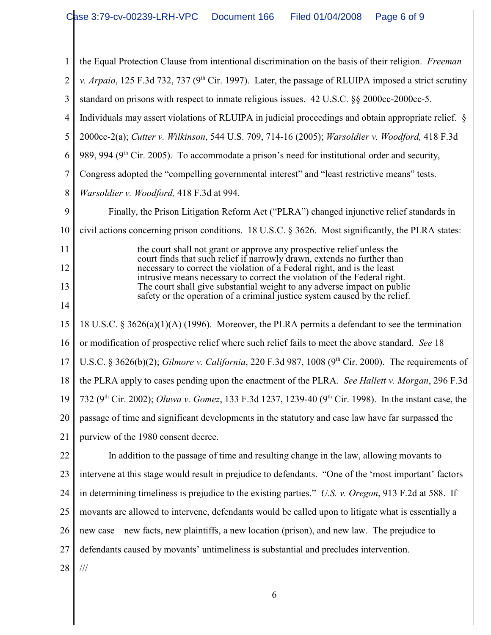| 1              | the Equal Protection Clause from intentional discrimination on the basis of their religion. Freeman                                                   |  |  |  |  |
|----------------|-------------------------------------------------------------------------------------------------------------------------------------------------------|--|--|--|--|
| $\overline{2}$ | v. Arpaio, 125 F.3d 732, 737 ( $9th$ Cir. 1997). Later, the passage of RLUIPA imposed a strict scrutiny                                               |  |  |  |  |
| 3              | standard on prisons with respect to inmate religious issues. 42 U.S.C. §§ 2000cc-2000cc-5.                                                            |  |  |  |  |
| $\overline{4}$ | Individuals may assert violations of RLUIPA in judicial proceedings and obtain appropriate relief. §                                                  |  |  |  |  |
| 5              | 2000cc-2(a); Cutter v. Wilkinson, 544 U.S. 709, 714-16 (2005); Warsoldier v. Woodford, 418 F.3d                                                       |  |  |  |  |
| 6              | 989, 994 (9 <sup>th</sup> Cir. 2005). To accommodate a prison's need for institutional order and security,                                            |  |  |  |  |
| $\overline{7}$ | Congress adopted the "compelling governmental interest" and "least restrictive means" tests.                                                          |  |  |  |  |
| 8              | Warsoldier v. Woodford, 418 F.3d at 994.                                                                                                              |  |  |  |  |
| 9              | Finally, the Prison Litigation Reform Act ("PLRA") changed injunctive relief standards in                                                             |  |  |  |  |
| 10             | civil actions concerning prison conditions. 18 U.S.C. § 3626. Most significantly, the PLRA states:                                                    |  |  |  |  |
| 11             | the court shall not grant or approve any prospective relief unless the<br>court finds that such relief if narrowly drawn, extends no further than     |  |  |  |  |
| 12             | necessary to correct the violation of a Federal right, and is the least<br>intrusive means necessary to correct the violation of the Federal right.   |  |  |  |  |
| 13             | The court shall give substantial weight to any adverse impact on public<br>safety or the operation of a criminal justice system caused by the relief. |  |  |  |  |
| 14             |                                                                                                                                                       |  |  |  |  |
| 15             | 18 U.S.C. § 3626(a)(1)(A) (1996). Moreover, the PLRA permits a defendant to see the termination                                                       |  |  |  |  |
| 16             | or modification of prospective relief where such relief fails to meet the above standard. See 18                                                      |  |  |  |  |
| 17             | U.S.C. § 3626(b)(2); Gilmore v. California, 220 F.3d 987, 1008 (9 <sup>th</sup> Cir. 2000). The requirements of                                       |  |  |  |  |
| 18             | the PLRA apply to cases pending upon the enactment of the PLRA. See Hallett v. Morgan, 296 F.3d                                                       |  |  |  |  |
| 19             | 732 (9 <sup>th</sup> Cir. 2002); <i>Oluwa v. Gomez</i> , 133 F.3d 1237, 1239-40 (9 <sup>th</sup> Cir. 1998). In the instant case, the                 |  |  |  |  |
| 20             | passage of time and significant developments in the statutory and case law have far surpassed the                                                     |  |  |  |  |
| 21             | purview of the 1980 consent decree.                                                                                                                   |  |  |  |  |
| 22             | In addition to the passage of time and resulting change in the law, allowing movants to                                                               |  |  |  |  |
| 23             | intervene at this stage would result in prejudice to defendants. "One of the 'most important' factors                                                 |  |  |  |  |
| 24             | in determining timeliness is prejudice to the existing parties." U.S. v. Oregon, 913 F.2d at 588. If                                                  |  |  |  |  |
| 25             | movants are allowed to intervene, defendants would be called upon to litigate what is essentially a                                                   |  |  |  |  |
| 26             | new case – new facts, new plaintiffs, a new location (prison), and new law. The prejudice to                                                          |  |  |  |  |
| 27             | defendants caused by movants' untimeliness is substantial and precludes intervention.                                                                 |  |  |  |  |
| 28             | $/\!/ \!/$                                                                                                                                            |  |  |  |  |
|                |                                                                                                                                                       |  |  |  |  |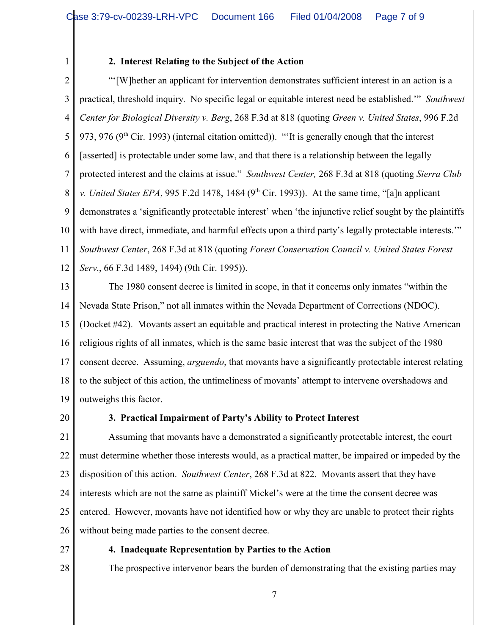1

## **2. Interest Relating to the Subject of the Action**

2 3 4 5 6 7 8 9 10 11 12 "'[W]hether an applicant for intervention demonstrates sufficient interest in an action is a practical, threshold inquiry. No specific legal or equitable interest need be established.'" *Southwest Center for Biological Diversity v. Berg*, 268 F.3d at 818 (quoting *Green v. United States*, 996 F.2d 973, 976 ( $9<sup>th</sup>$  Cir. 1993) (internal citation omitted)). "'It is generally enough that the interest [asserted] is protectable under some law, and that there is a relationship between the legally protected interest and the claims at issue." *Southwest Center,* 268 F.3d at 818 (quoting *Sierra Club v. United States EPA*, 995 F.2d 1478, 1484 (9<sup>th</sup> Cir. 1993)). At the same time, "[a]n applicant demonstrates a 'significantly protectable interest' when 'the injunctive relief sought by the plaintiffs with have direct, immediate, and harmful effects upon a third party's legally protectable interests." *Southwest Center*, 268 F.3d at 818 (quoting *Forest Conservation Council v. United States Forest Serv*., 66 F.3d 1489, 1494) (9th Cir. 1995)).

13 14 15 16 17 18 19 The 1980 consent decree is limited in scope, in that it concerns only inmates "within the Nevada State Prison," not all inmates within the Nevada Department of Corrections (NDOC). (Docket #42). Movants assert an equitable and practical interest in protecting the Native American religious rights of all inmates, which is the same basic interest that was the subject of the 1980 consent decree. Assuming, *arguendo*, that movants have a significantly protectable interest relating to the subject of this action, the untimeliness of movants' attempt to intervene overshadows and outweighs this factor.

20

## **3. Practical Impairment of Party's Ability to Protect Interest**

21 22 23 24 25 26 Assuming that movants have a demonstrated a significantly protectable interest, the court must determine whether those interests would, as a practical matter, be impaired or impeded by the disposition of this action. *Southwest Center*, 268 F.3d at 822. Movants assert that they have interests which are not the same as plaintiff Mickel's were at the time the consent decree was entered. However, movants have not identified how or why they are unable to protect their rights without being made parties to the consent decree.

27

28

**4. Inadequate Representation by Parties to the Action**

The prospective intervenor bears the burden of demonstrating that the existing parties may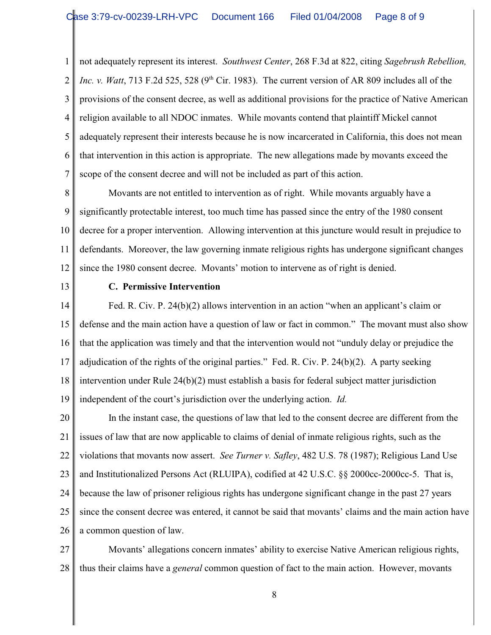1 2 3 4 5 6 7 not adequately represent its interest. *Southwest Center*, 268 F.3d at 822, citing *Sagebrush Rebellion, Inc. v. Watt*, 713 F.2d 525, 528 (9<sup>th</sup> Cir. 1983). The current version of AR 809 includes all of the provisions of the consent decree, as well as additional provisions for the practice of Native American religion available to all NDOC inmates. While movants contend that plaintiff Mickel cannot adequately represent their interests because he is now incarcerated in California, this does not mean that intervention in this action is appropriate. The new allegations made by movants exceed the scope of the consent decree and will not be included as part of this action.

8 9 10 11 12 Movants are not entitled to intervention as of right. While movants arguably have a significantly protectable interest, too much time has passed since the entry of the 1980 consent decree for a proper intervention. Allowing intervention at this juncture would result in prejudice to defendants. Moreover, the law governing inmate religious rights has undergone significant changes since the 1980 consent decree. Movants' motion to intervene as of right is denied.

13

### **C. Permissive Intervention**

14 15 16 17 18 19 Fed. R. Civ. P. 24(b)(2) allows intervention in an action "when an applicant's claim or defense and the main action have a question of law or fact in common." The movant must also show that the application was timely and that the intervention would not "unduly delay or prejudice the adjudication of the rights of the original parties." Fed. R. Civ. P. 24(b)(2). A party seeking intervention under Rule 24(b)(2) must establish a basis for federal subject matter jurisdiction independent of the court's jurisdiction over the underlying action. *Id.*

20 21 22 23 24 25 26 In the instant case, the questions of law that led to the consent decree are different from the issues of law that are now applicable to claims of denial of inmate religious rights, such as the violations that movants now assert. *See Turner v. Safley*, 482 U.S. 78 (1987); Religious Land Use and Institutionalized Persons Act (RLUIPA), codified at 42 U.S.C. §§ 2000cc-2000cc-5. That is, because the law of prisoner religious rights has undergone significant change in the past 27 years since the consent decree was entered, it cannot be said that movants' claims and the main action have a common question of law.

27 28 Movants' allegations concern inmates' ability to exercise Native American religious rights, thus their claims have a *general* common question of fact to the main action. However, movants